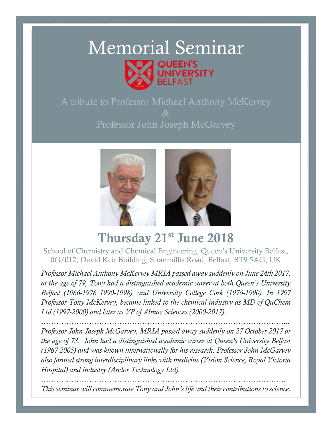# Memorial Seminar EEN'S **JIVERSITY**

 $\&$ Professor John Joseph McGarvey



# Thursday 21st June 2018

School of Chemistry and Chemical Engineering, Queen's University Belfast, 0G/012, David Keir Building, Stranmillis Road, Belfast, BT9 5AG, UK

*Professor Michael Anthony McKervey MRIA passed away suddenly on June 24th 2017, at the age of 79, Tony had a distinguished academic career at both Queen's University Belfast (1966-1976 1990-1998), and University College Cork (1976-1990). In 1997 Professor Tony McKervey, became linked to the chemical industry as MD of QuChem Ltd (1997-2000) and later as VP of Almac Sciences (2000-2017).*

*……………………………………………………………………………………... Professor John Joseph McGarvey, MRIA passed away suddenly on 27 October 2017 at the age of 78. John had a distinguished academic career at Queen's University Belfast (1967-2005) and was known internationally for his research. Professor John McGarvey also formed strong interdisciplinary links with medicine (Vision Science, Royal Victoria Hospital) and industry (Andor Technology Ltd).*

*……………………………………………………………………………………. This seminar will commemorate Tony and John's life and their contributions to science.*